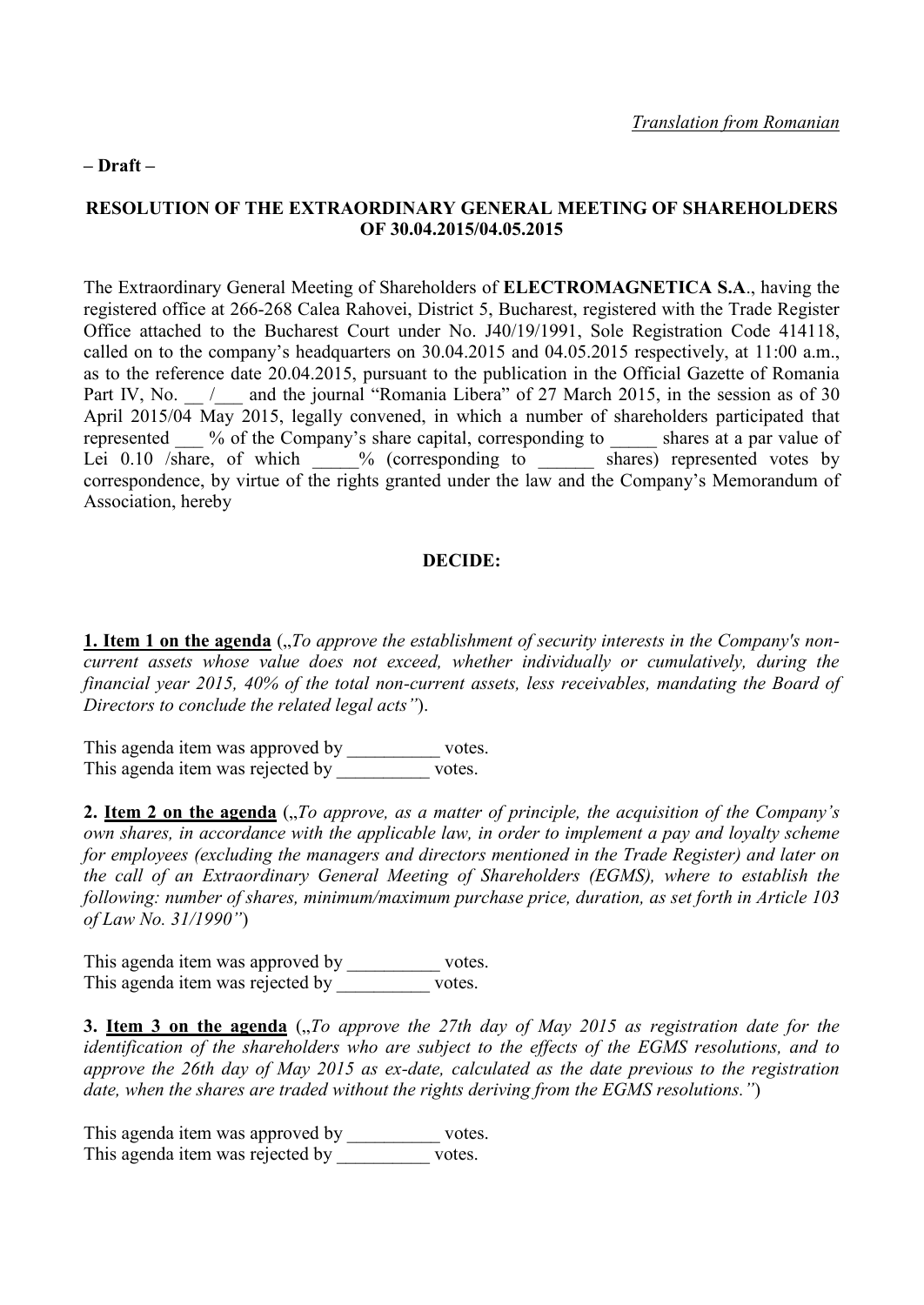## **– Draft –**

## **RESOLUTION OF THE EXTRAORDINARY GENERAL MEETING OF SHAREHOLDERS OF 30.04.2015/04.05.2015**

The Extraordinary General Meeting of Shareholders of **ELECTROMAGNETICA S.A**., having the registered office at 266-268 Calea Rahovei, District 5, Bucharest, registered with the Trade Register Office attached to the Bucharest Court under No. J40/19/1991, Sole Registration Code 414118, called on to the company's headquarters on 30.04.2015 and 04.05.2015 respectively, at 11:00 a.m., as to the reference date 20.04.2015, pursuant to the publication in the Official Gazette of Romania Part IV, No. / and the journal "Romania Libera" of 27 March 2015, in the session as of 30 April 2015/04 May 2015, legally convened, in which a number of shareholders participated that represented % of the Company's share capital, corresponding to \_\_\_\_\_ shares at a par value of Lei  $0.10$  /share, of which  $\frac{1}{\sqrt{2}}$ % (corresponding to  $\frac{1}{\sqrt{2}}$  shares) represented votes by correspondence, by virtue of the rights granted under the law and the Company's Memorandum of Association, hereby

## **DECIDE:**

**1. Item 1 on the agenda** ("To approve the establishment of security interests in the Company's non*current assets whose value does not exceed, whether individually or cumulatively, during the financial year 2015, 40% of the total non-current assets, less receivables, mandating the Board of Directors to conclude the related legal acts"*).

This agenda item was approved by \_\_\_\_\_\_\_\_\_\_\_ votes. This agenda item was rejected by \_\_\_\_\_\_\_\_\_\_ votes.

**2. Item 2 on the agenda** (*"To approve, as a matter of principle, the acquisition of the Company's own shares, in accordance with the applicable law, in order to implement a pay and loyalty scheme for employees (excluding the managers and directors mentioned in the Trade Register) and later on the call of an Extraordinary General Meeting of Shareholders (EGMS), where to establish the following: number of shares, minimum/maximum purchase price, duration, as set forth in Article 103 of Law No. 31/1990"*)

This agenda item was approved by \_\_\_\_\_\_\_\_\_\_\_ votes. This agenda item was rejected by votes.

**3. Item 3 on the agenda** (*"To approve the 27th day of May 2015 as registration date for the identification of the shareholders who are subject to the effects of the EGMS resolutions, and to approve the 26th day of May 2015 as ex-date, calculated as the date previous to the registration date, when the shares are traded without the rights deriving from the EGMS resolutions."*)

This agenda item was approved by \_\_\_\_\_\_\_\_\_\_\_ votes. This agenda item was rejected by \_\_\_\_\_\_\_\_\_\_ votes.